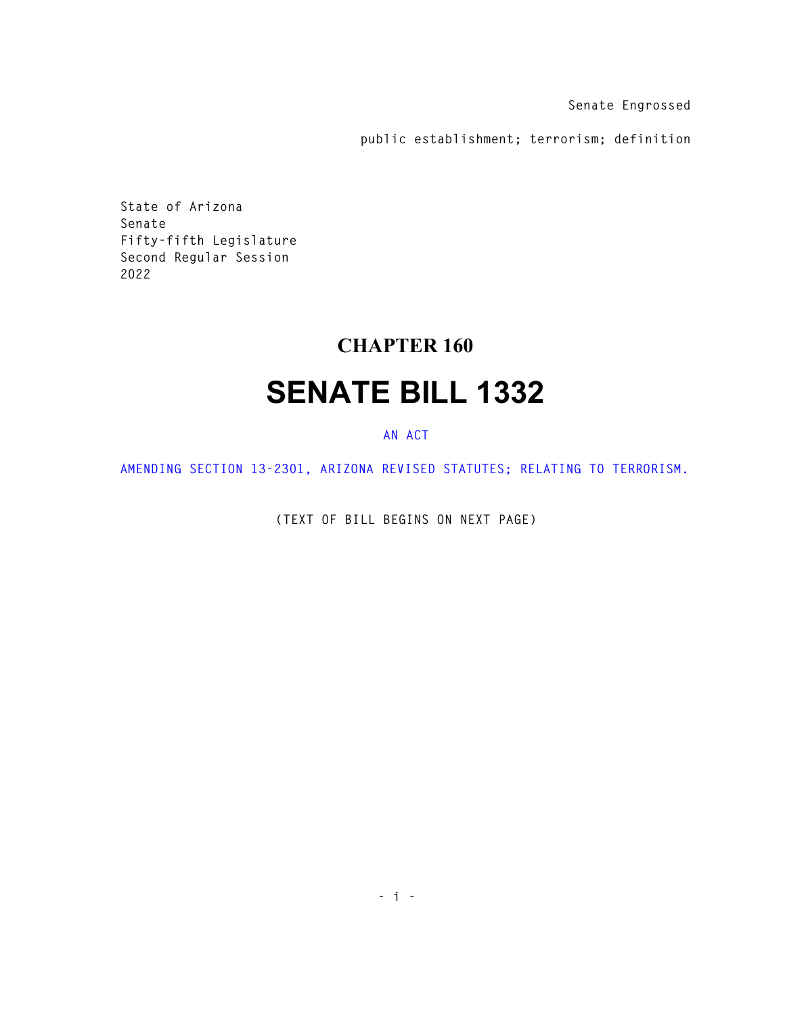**Senate Engrossed** 

**public establishment; terrorism; definition** 

**State of Arizona Senate Fifty-fifth Legislature Second Regular Session 2022** 

## **CHAPTER 160**

## **SENATE BILL 1332**

## **AN ACT**

**AMENDING SECTION 13-2301, ARIZONA REVISED STATUTES; RELATING TO TERRORISM.** 

**(TEXT OF BILL BEGINS ON NEXT PAGE)**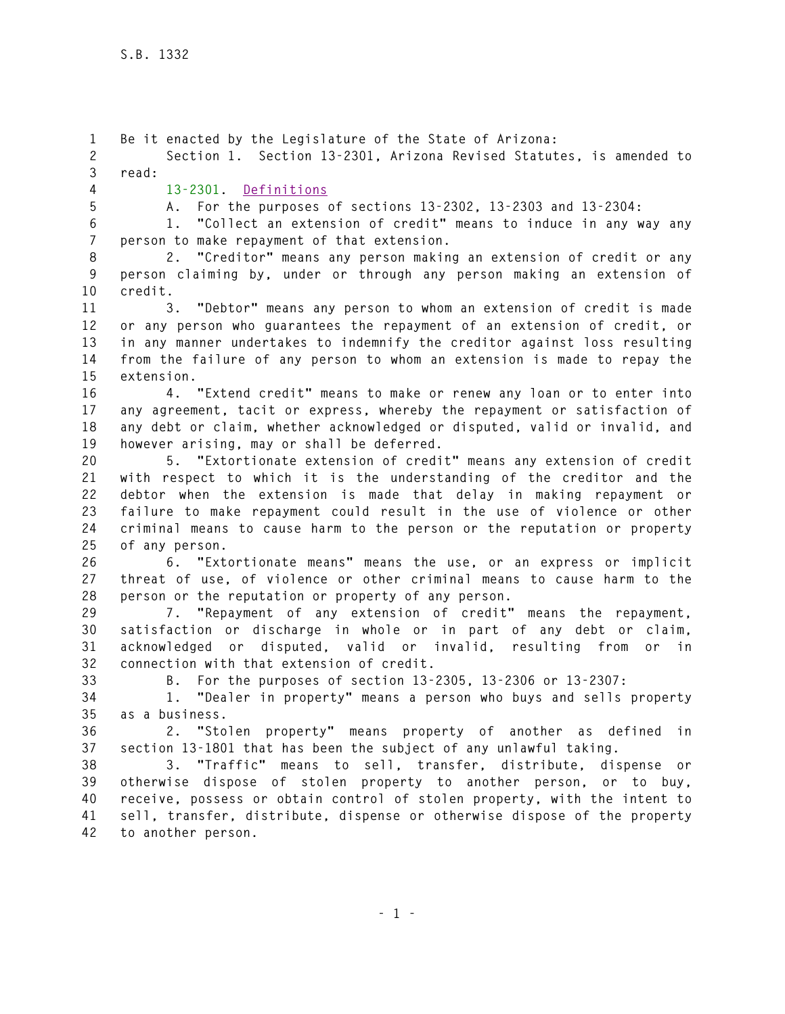**1 Be it enacted by the Legislature of the State of Arizona: 2 Section 1. Section 13-2301, Arizona Revised Statutes, is amended to 3 read: 4 13-2301. Definitions 5 A. For the purposes of sections 13-2302, 13-2303 and 13-2304: 6 1. "Collect an extension of credit" means to induce in any way any 7 person to make repayment of that extension. 8 2. "Creditor" means any person making an extension of credit or any 9 person claiming by, under or through any person making an extension of 10 credit. 11 3. "Debtor" means any person to whom an extension of credit is made 12 or any person who guarantees the repayment of an extension of credit, or 13 in any manner undertakes to indemnify the creditor against loss resulting 14 from the failure of any person to whom an extension is made to repay the 15 extension. 16 4. "Extend credit" means to make or renew any loan or to enter into 17 any agreement, tacit or express, whereby the repayment or satisfaction of 18 any debt or claim, whether acknowledged or disputed, valid or invalid, and 19 however arising, may or shall be deferred. 20 5. "Extortionate extension of credit" means any extension of credit 21 with respect to which it is the understanding of the creditor and the 22 debtor when the extension is made that delay in making repayment or 23 failure to make repayment could result in the use of violence or other 24 criminal means to cause harm to the person or the reputation or property 25 of any person. 26 6. "Extortionate means" means the use, or an express or implicit 27 threat of use, of violence or other criminal means to cause harm to the 28 person or the reputation or property of any person. 29 7. "Repayment of any extension of credit" means the repayment, 30 satisfaction or discharge in whole or in part of any debt or claim, 31 acknowledged or disputed, valid or invalid, resulting from or in 32 connection with that extension of credit. 33 B. For the purposes of section 13-2305, 13-2306 or 13-2307: 34 1. "Dealer in property" means a person who buys and sells property 35 as a business. 36 2. "Stolen property" means property of another as defined in 37 section 13-1801 that has been the subject of any unlawful taking. 38 3. "Traffic" means to sell, transfer, distribute, dispense or 39 otherwise dispose of stolen property to another person, or to buy, 40 receive, possess or obtain control of stolen property, with the intent to 41 sell, transfer, distribute, dispense or otherwise dispose of the property 42 to another person.**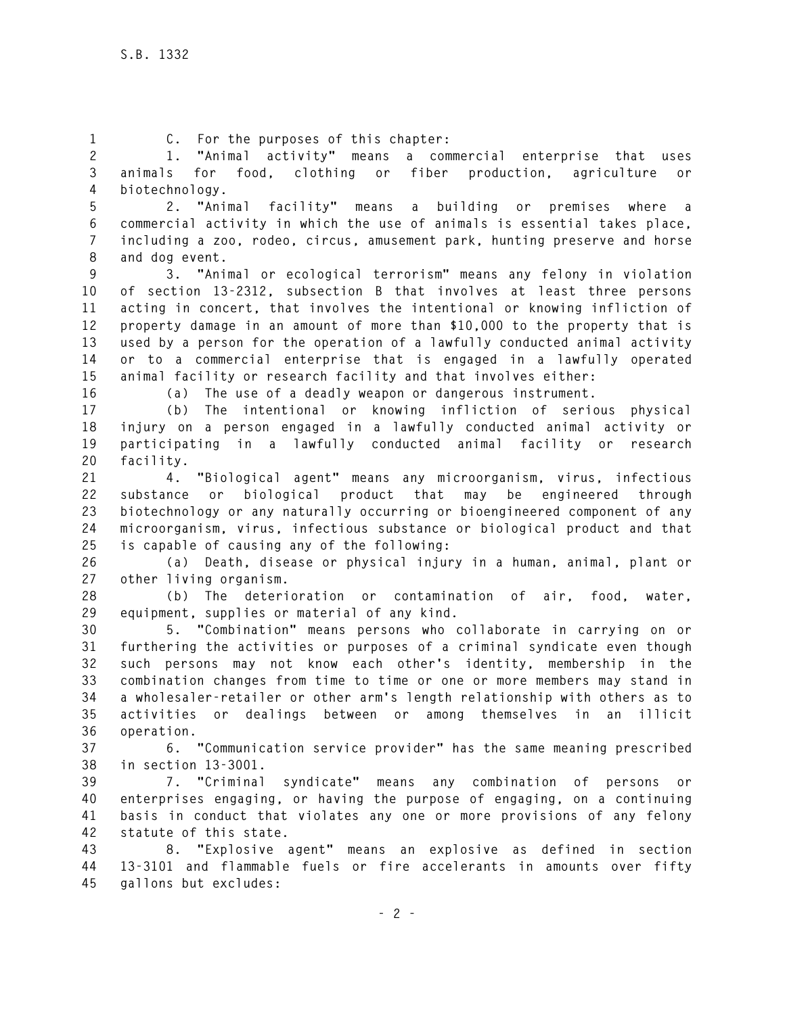**1 C. For the purposes of this chapter:** 

**2 1. "Animal activity" means a commercial enterprise that uses 3 animals for food, clothing or fiber production, agriculture or 4 biotechnology.** 

**5 2. "Animal facility" means a building or premises where a 6 commercial activity in which the use of animals is essential takes place, 7 including a zoo, rodeo, circus, amusement park, hunting preserve and horse 8 and dog event.** 

**9 3. "Animal or ecological terrorism" means any felony in violation 10 of section 13-2312, subsection B that involves at least three persons 11 acting in concert, that involves the intentional or knowing infliction of 12 property damage in an amount of more than \$10,000 to the property that is 13 used by a person for the operation of a lawfully conducted animal activity 14 or to a commercial enterprise that is engaged in a lawfully operated 15 animal facility or research facility and that involves either:** 

**16 (a) The use of a deadly weapon or dangerous instrument.** 

**17 (b) The intentional or knowing infliction of serious physical 18 injury on a person engaged in a lawfully conducted animal activity or 19 participating in a lawfully conducted animal facility or research 20 facility.** 

**21 4. "Biological agent" means any microorganism, virus, infectious 22 substance or biological product that may be engineered through 23 biotechnology or any naturally occurring or bioengineered component of any 24 microorganism, virus, infectious substance or biological product and that 25 is capable of causing any of the following:** 

**26 (a) Death, disease or physical injury in a human, animal, plant or 27 other living organism.** 

**28 (b) The deterioration or contamination of air, food, water, 29 equipment, supplies or material of any kind.** 

**30 5. "Combination" means persons who collaborate in carrying on or 31 furthering the activities or purposes of a criminal syndicate even though 32 such persons may not know each other's identity, membership in the 33 combination changes from time to time or one or more members may stand in 34 a wholesaler-retailer or other arm's length relationship with others as to 35 activities or dealings between or among themselves in an illicit 36 operation.** 

**37 6. "Communication service provider" has the same meaning prescribed 38 in section 13-3001.** 

**39 7. "Criminal syndicate" means any combination of persons or 40 enterprises engaging, or having the purpose of engaging, on a continuing 41 basis in conduct that violates any one or more provisions of any felony 42 statute of this state.** 

**43 8. "Explosive agent" means an explosive as defined in section 44 13-3101 and flammable fuels or fire accelerants in amounts over fifty 45 gallons but excludes:**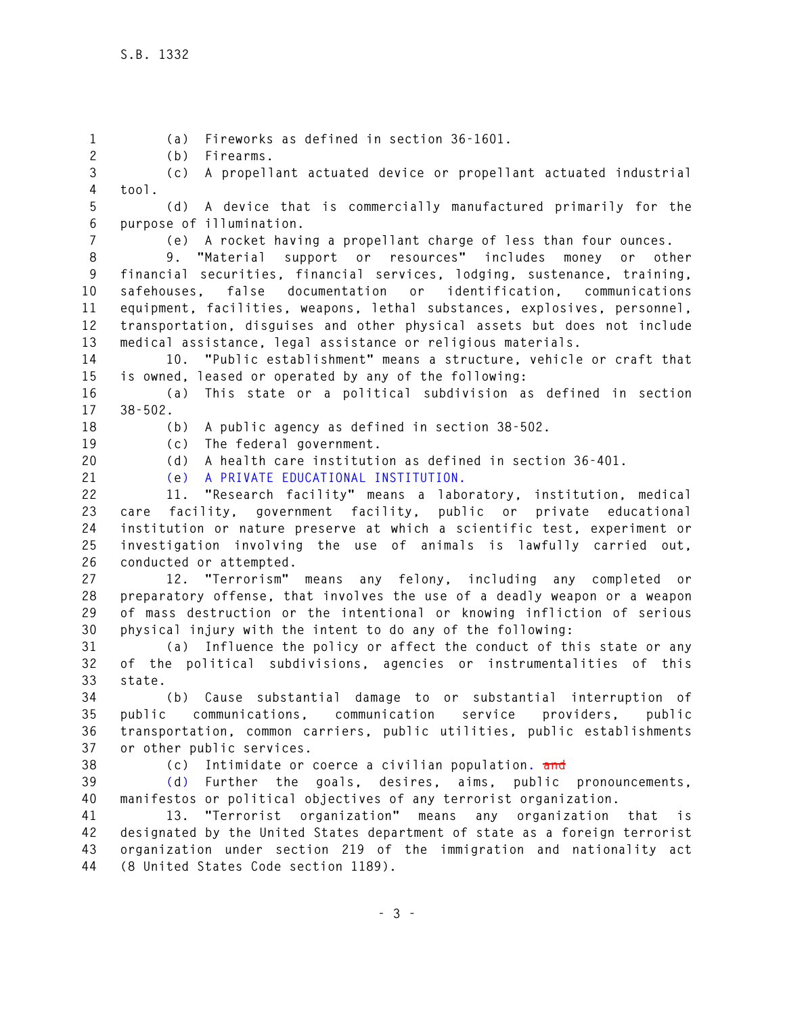**1 (a) Fireworks as defined in section 36-1601. 2 (b) Firearms. 3 (c) A propellant actuated device or propellant actuated industrial 4 tool. 5 (d) A device that is commercially manufactured primarily for the 6 purpose of illumination. 7 (e) A rocket having a propellant charge of less than four ounces. 8 9. "Material support or resources" includes money or other 9 financial securities, financial services, lodging, sustenance, training, 10 safehouses, false documentation or identification, communications 11 equipment, facilities, weapons, lethal substances, explosives, personnel, 12 transportation, disguises and other physical assets but does not include 13 medical assistance, legal assistance or religious materials. 14 10. "Public establishment" means a structure, vehicle or craft that 15 is owned, leased or operated by any of the following: 16 (a) This state or a political subdivision as defined in section 17 38-502. 18 (b) A public agency as defined in section 38-502. 19 (c) The federal government. 20 (d) A health care institution as defined in section 36-401. 21 (e) A PRIVATE EDUCATIONAL INSTITUTION. 22 11. "Research facility" means a laboratory, institution, medical 23 care facility, government facility, public or private educational 24 institution or nature preserve at which a scientific test, experiment or 25 investigation involving the use of animals is lawfully carried out, 26 conducted or attempted. 27 12. "Terrorism" means any felony, including any completed or 28 preparatory offense, that involves the use of a deadly weapon or a weapon 29 of mass destruction or the intentional or knowing infliction of serious 30 physical injury with the intent to do any of the following: 31 (a) Influence the policy or affect the conduct of this state or any 32 of the political subdivisions, agencies or instrumentalities of this 33 state. 34 (b) Cause substantial damage to or substantial interruption of 35 public communications, communication service providers, public 36 transportation, common carriers, public utilities, public establishments 37 or other public services. 38 (c) Intimidate or coerce a civilian population. and 39 (d) Further the goals, desires, aims, public pronouncements, 40 manifestos or political objectives of any terrorist organization. 41 13. "Terrorist organization" means any organization that is 42 designated by the United States department of state as a foreign terrorist 43 organization under section 219 of the immigration and nationality act 44 (8 United States Code section 1189).**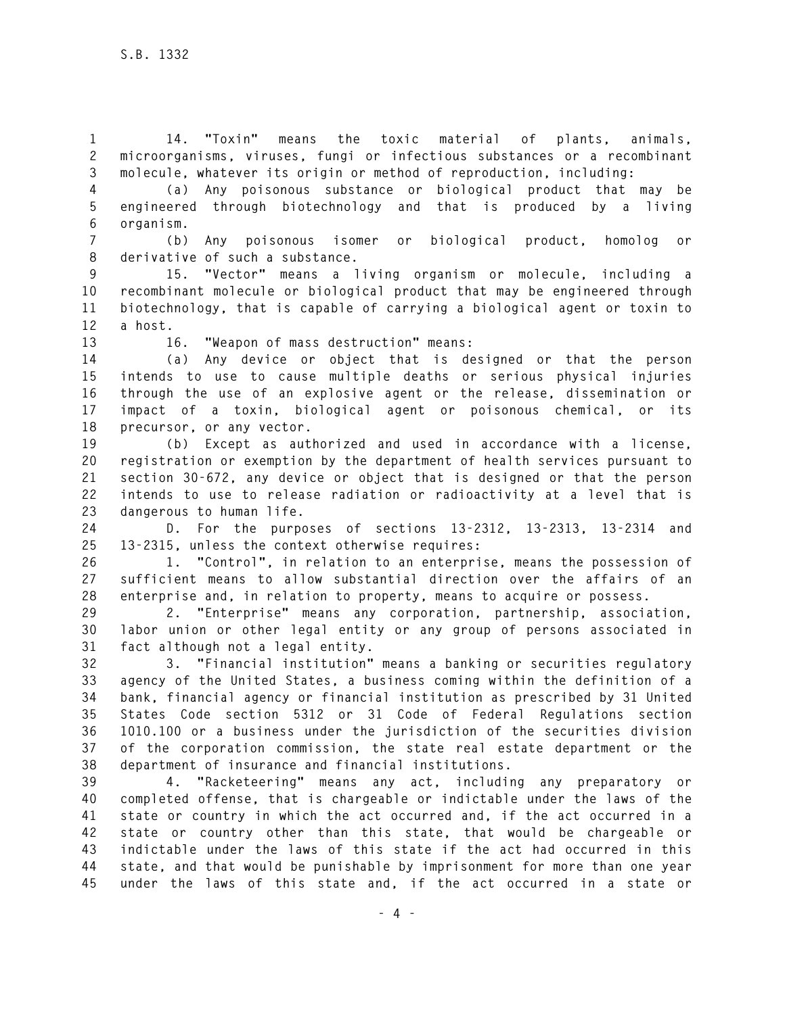**1 14. "Toxin" means the toxic material of plants, animals, 2 microorganisms, viruses, fungi or infectious substances or a recombinant 3 molecule, whatever its origin or method of reproduction, including:** 

**4 (a) Any poisonous substance or biological product that may be 5 engineered through biotechnology and that is produced by a living 6 organism.** 

**7 (b) Any poisonous isomer or biological product, homolog or 8 derivative of such a substance.** 

**9 15. "Vector" means a living organism or molecule, including a 10 recombinant molecule or biological product that may be engineered through 11 biotechnology, that is capable of carrying a biological agent or toxin to 12 a host.** 

**13 16. "Weapon of mass destruction" means:** 

**14 (a) Any device or object that is designed or that the person 15 intends to use to cause multiple deaths or serious physical injuries 16 through the use of an explosive agent or the release, dissemination or 17 impact of a toxin, biological agent or poisonous chemical, or its 18 precursor, or any vector.** 

**19 (b) Except as authorized and used in accordance with a license, 20 registration or exemption by the department of health services pursuant to 21 section 30-672, any device or object that is designed or that the person 22 intends to use to release radiation or radioactivity at a level that is 23 dangerous to human life.** 

**24 D. For the purposes of sections 13-2312, 13-2313, 13-2314 and 25 13-2315, unless the context otherwise requires:** 

**26 1. "Control", in relation to an enterprise, means the possession of 27 sufficient means to allow substantial direction over the affairs of an 28 enterprise and, in relation to property, means to acquire or possess.** 

**29 2. "Enterprise" means any corporation, partnership, association, 30 labor union or other legal entity or any group of persons associated in 31 fact although not a legal entity.** 

**32 3. "Financial institution" means a banking or securities regulatory 33 agency of the United States, a business coming within the definition of a 34 bank, financial agency or financial institution as prescribed by 31 United 35 States Code section 5312 or 31 Code of Federal Regulations section 36 1010.100 or a business under the jurisdiction of the securities division 37 of the corporation commission, the state real estate department or the 38 department of insurance and financial institutions.** 

**39 4. "Racketeering" means any act, including any preparatory or 40 completed offense, that is chargeable or indictable under the laws of the 41 state or country in which the act occurred and, if the act occurred in a 42 state or country other than this state, that would be chargeable or 43 indictable under the laws of this state if the act had occurred in this 44 state, and that would be punishable by imprisonment for more than one year 45 under the laws of this state and, if the act occurred in a state or**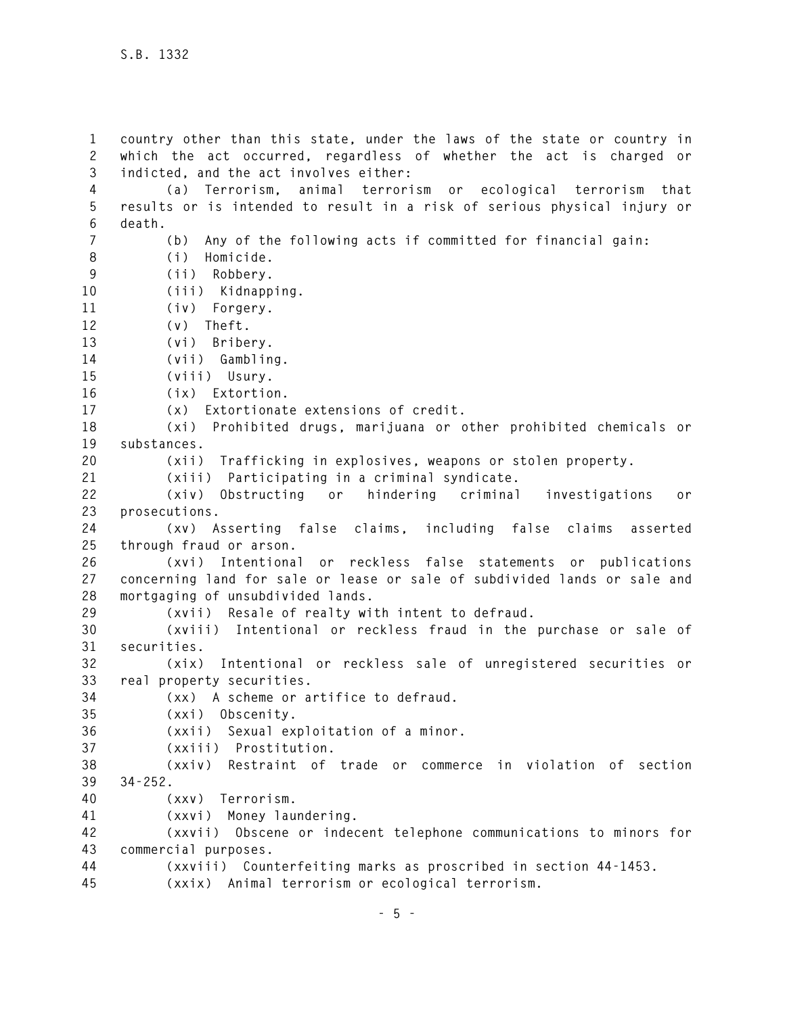**1 country other than this state, under the laws of the state or country in 2 which the act occurred, regardless of whether the act is charged or 3 indicted, and the act involves either: 4 (a) Terrorism, animal terrorism or ecological terrorism that 5 results or is intended to result in a risk of serious physical injury or 6 death. 7 (b) Any of the following acts if committed for financial gain: 8 (i) Homicide. 9 (ii) Robbery. 10 (iii) Kidnapping. 11 (iv) Forgery. 12 (v) Theft. 13 (vi) Bribery. 14 (vii) Gambling. 15 (viii) Usury. 16 (ix) Extortion. 17 (x) Extortionate extensions of credit. 18 (xi) Prohibited drugs, marijuana or other prohibited chemicals or 19 substances. 20 (xii) Trafficking in explosives, weapons or stolen property. 21 (xiii) Participating in a criminal syndicate. 22 (xiv) Obstructing or hindering criminal investigations or 23 prosecutions. 24 (xv) Asserting false claims, including false claims asserted 25 through fraud or arson. 26 (xvi) Intentional or reckless false statements or publications 27 concerning land for sale or lease or sale of subdivided lands or sale and 28 mortgaging of unsubdivided lands. 29 (xvii) Resale of realty with intent to defraud. 30 (xviii) Intentional or reckless fraud in the purchase or sale of 31 securities. 32 (xix) Intentional or reckless sale of unregistered securities or 33 real property securities. 34 (xx) A scheme or artifice to defraud. 35 (xxi) Obscenity. 36 (xxii) Sexual exploitation of a minor. 37 (xxiii) Prostitution. 38 (xxiv) Restraint of trade or commerce in violation of section 39 34-252. 40 (xxv) Terrorism. 41 (xxvi) Money laundering. 42 (xxvii) Obscene or indecent telephone communications to minors for 43 commercial purposes. 44 (xxviii) Counterfeiting marks as proscribed in section 44-1453. 45 (xxix) Animal terrorism or ecological terrorism.**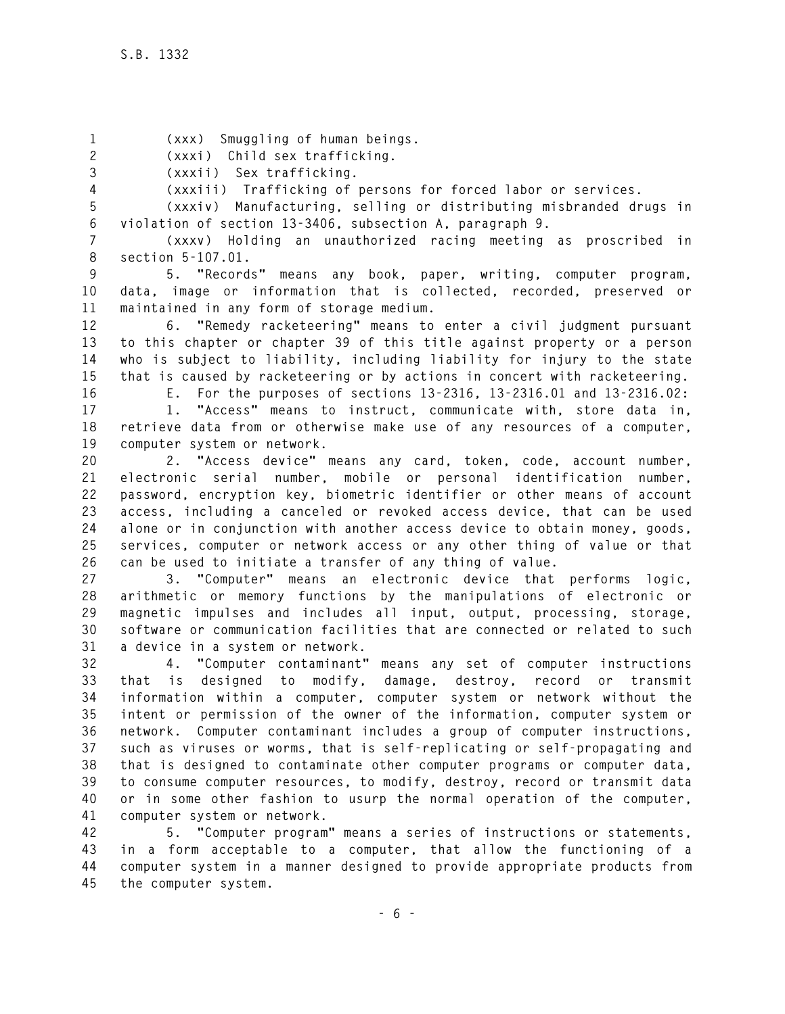**1 (xxx) Smuggling of human beings.** 

**2 (xxxi) Child sex trafficking.** 

**3 (xxxii) Sex trafficking.** 

**4 (xxxiii) Trafficking of persons for forced labor or services.** 

**5 (xxxiv) Manufacturing, selling or distributing misbranded drugs in 6 violation of section 13-3406, subsection A, paragraph 9.** 

**7 (xxxv) Holding an unauthorized racing meeting as proscribed in 8 section 5-107.01.** 

**9 5. "Records" means any book, paper, writing, computer program, 10 data, image or information that is collected, recorded, preserved or 11 maintained in any form of storage medium.** 

**12 6. "Remedy racketeering" means to enter a civil judgment pursuant 13 to this chapter or chapter 39 of this title against property or a person 14 who is subject to liability, including liability for injury to the state 15 that is caused by racketeering or by actions in concert with racketeering.** 

**16 E. For the purposes of sections 13-2316, 13-2316.01 and 13-2316.02:** 

**17 1. "Access" means to instruct, communicate with, store data in, 18 retrieve data from or otherwise make use of any resources of a computer, 19 computer system or network.** 

**20 2. "Access device" means any card, token, code, account number, 21 electronic serial number, mobile or personal identification number, 22 password, encryption key, biometric identifier or other means of account 23 access, including a canceled or revoked access device, that can be used 24 alone or in conjunction with another access device to obtain money, goods, 25 services, computer or network access or any other thing of value or that 26 can be used to initiate a transfer of any thing of value.** 

**27 3. "Computer" means an electronic device that performs logic, 28 arithmetic or memory functions by the manipulations of electronic or 29 magnetic impulses and includes all input, output, processing, storage, 30 software or communication facilities that are connected or related to such 31 a device in a system or network.** 

**32 4. "Computer contaminant" means any set of computer instructions 33 that is designed to modify, damage, destroy, record or transmit 34 information within a computer, computer system or network without the 35 intent or permission of the owner of the information, computer system or 36 network. Computer contaminant includes a group of computer instructions, 37 such as viruses or worms, that is self-replicating or self-propagating and 38 that is designed to contaminate other computer programs or computer data, 39 to consume computer resources, to modify, destroy, record or transmit data 40 or in some other fashion to usurp the normal operation of the computer, 41 computer system or network.** 

**42 5. "Computer program" means a series of instructions or statements, 43 in a form acceptable to a computer, that allow the functioning of a 44 computer system in a manner designed to provide appropriate products from 45 the computer system.**